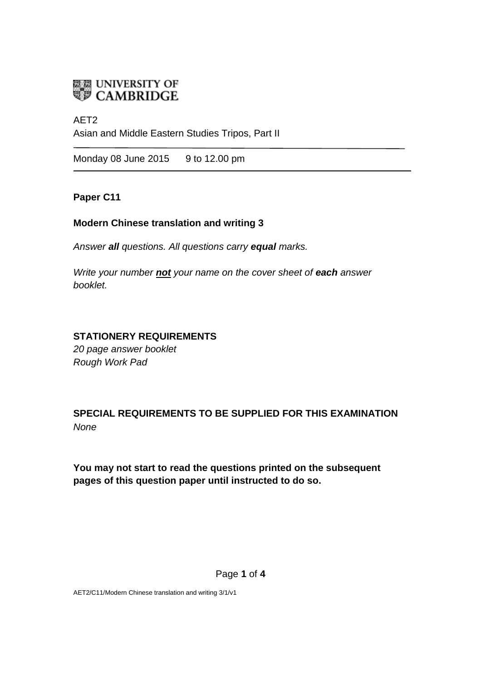

# AET2

Asian and Middle Eastern Studies Tripos, Part II

Monday 08 June 2015 9 to 12.00 pm

### **Paper C11**

#### **Modern Chinese translation and writing 3**

*Answer all questions. All questions carry equal marks.*

*Write your number not your name on the cover sheet of each answer booklet.* 

## **STATIONERY REQUIREMENTS**

*20 page answer booklet Rough Work Pad*

**SPECIAL REQUIREMENTS TO BE SUPPLIED FOR THIS EXAMINATION** *None*

**You may not start to read the questions printed on the subsequent pages of this question paper until instructed to do so.**

AET2/C11/Modern Chinese translation and writing 3/1/v1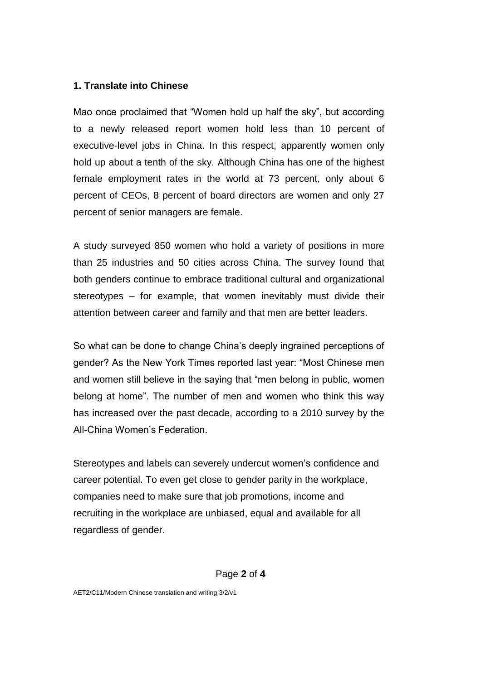#### **1. Translate into Chinese**

Mao once proclaimed that "Women hold up half the sky", but according to a newly released report women hold less than 10 percent of executive-level jobs in China. In this respect, apparently women only hold up about a tenth of the sky. Although China has one of the highest female employment rates in the world at 73 percent, only about 6 percent of CEOs, 8 percent of board directors are women and only 27 percent of senior managers are female.

A study surveyed 850 women who hold a variety of positions in more than 25 industries and 50 cities across China. The survey found that both genders continue to embrace traditional cultural and organizational stereotypes – for example, that women inevitably must divide their attention between career and family and that men are better leaders.

So what can be done to change China's deeply ingrained perceptions of gender? As the New York Times reported last year: "Most Chinese men and women still believe in the saying that "men belong in public, women belong at home". The number of men and women who think this way has increased over the past decade, according to a 2010 survey by the All-China Women's Federation.

Stereotypes and labels can severely undercut women's confidence and career potential. To even get close to gender parity in the workplace, companies need to make sure that job promotions, income and recruiting in the workplace are unbiased, equal and available for all regardless of gender.

#### Page **2** of **4**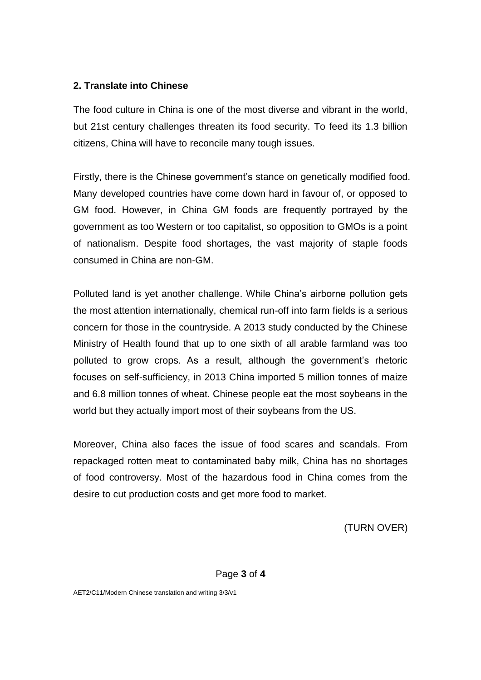## **2. Translate into Chinese**

The food culture in China is one of the most diverse and vibrant in the world, but 21st century challenges threaten its food security. To feed its 1.3 billion citizens, China will have to reconcile many tough issues.

Firstly, there is the Chinese government's stance on genetically modified food. Many developed countries have come down hard in favour of, or opposed to GM food. However, in China GM foods are frequently portrayed by the government as too Western or too capitalist, so opposition to GMOs is a point of nationalism. Despite food shortages, the vast majority of staple foods consumed in China are non-GM.

Polluted land is yet another challenge. While China's airborne pollution gets the most attention internationally, chemical run-off into farm fields is a serious concern for those in the countryside. A 2013 study conducted by the Chinese Ministry of Health found that up to one sixth of all arable farmland was too polluted to grow crops. As a result, although the government's rhetoric focuses on self-sufficiency, in 2013 China imported 5 million tonnes of maize and 6.8 million tonnes of wheat. Chinese people eat the most soybeans in the world but they actually import most of their soybeans from the US.

Moreover, China also faces the issue of food scares and scandals. From repackaged rotten meat to contaminated baby milk, China has no shortages of food controversy. Most of the hazardous food in China comes from the desire to cut production costs and get more food to market.

(TURN OVER)